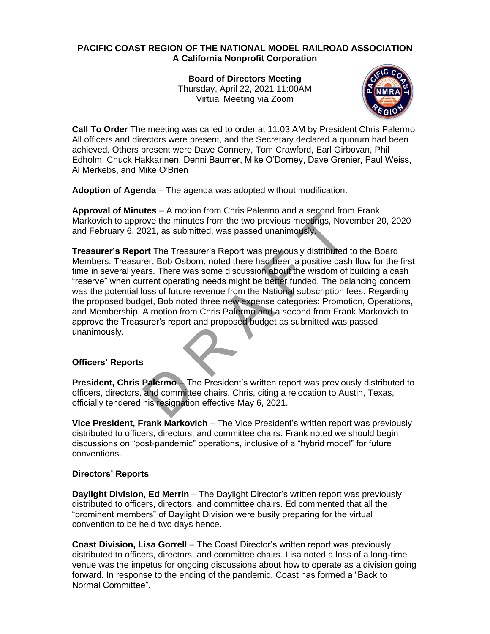# **PACIFIC COAST REGION OF THE NATIONAL MODEL RAILROAD ASSOCIATION A California Nonprofit Corporation**

**Board of Directors Meeting** Thursday, April 22, 2021 11:00AM Virtual Meeting via Zoom



**Call To Order** The meeting was called to order at 11:03 AM by President Chris Palermo. All officers and directors were present, and the Secretary declared a quorum had been achieved. Others present were Dave Connery, Tom Crawford, Earl Girbovan, Phil Edholm, Chuck Hakkarinen, Denni Baumer, Mike O'Dorney, Dave Grenier, Paul Weiss, Al Merkebs, and Mike O'Brien

**Adoption of Agenda** – The agenda was adopted without modification.

**Approval of Minutes** – A motion from Chris Palermo and a second from Frank Markovich to approve the minutes from the two previous meetings, November 20, 2020 and February 6, 2021, as submitted, was passed unanimously.

Note the minutes from the two previous meetings, Novem<br>1992, as submitted, was passed unanimously.<br>
The Treasurer's Report was previous meetings, Novem<br>
The Treasurer's Report was previously distributed to<br>
ter, Bob Osborn **Treasurer's Report** The Treasurer's Report was previously distributed to the Board Members. Treasurer, Bob Osborn, noted there had been a positive cash flow for the first time in several years. There was some discussion about the wisdom of building a cash "reserve" when current operating needs might be better funded. The balancing concern was the potential loss of future revenue from the National subscription fees. Regarding the proposed budget, Bob noted three new expense categories: Promotion, Operations, and Membership. A motion from Chris Palermo and a second from Frank Markovich to approve the Treasurer's report and proposed budget as submitted was passed unanimously.

## **Officers' Reports**

**President, Chris Palermo** – The President's written report was previously distributed to officers, directors, and committee chairs. Chris, citing a relocation to Austin, Texas, officially tendered his resignation effective May 6, 2021.

**Vice President, Frank Markovich** – The Vice President's written report was previously distributed to officers, directors, and committee chairs. Frank noted we should begin discussions on "post-pandemic" operations, inclusive of a "hybrid model" for future conventions.

## **Directors' Reports**

**Daylight Division, Ed Merrin** – The Daylight Director's written report was previously distributed to officers, directors, and committee chairs. Ed commented that all the "prominent members" of Daylight Division were busily preparing for the virtual convention to be held two days hence.

**Coast Division, Lisa Gorrell** – The Coast Director's written report was previously distributed to officers, directors, and committee chairs. Lisa noted a loss of a long-time venue was the impetus for ongoing discussions about how to operate as a division going forward. In response to the ending of the pandemic, Coast has formed a "Back to Normal Committee".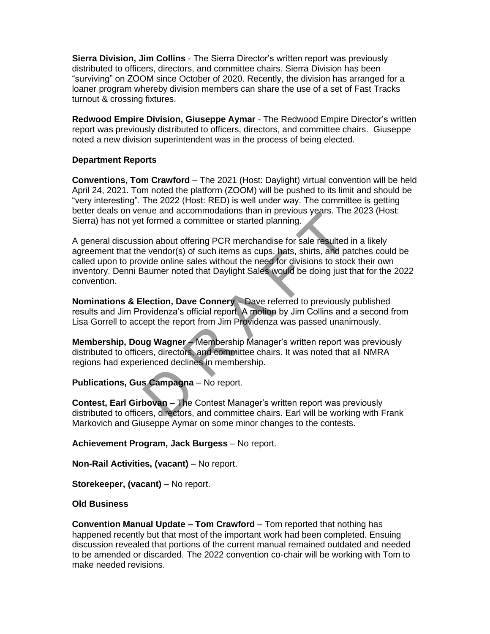**Sierra Division, Jim Collins** - The Sierra Director's written report was previously distributed to officers, directors, and committee chairs. Sierra Division has been "surviving" on ZOOM since October of 2020. Recently, the division has arranged for a loaner program whereby division members can share the use of a set of Fast Tracks turnout & crossing fixtures.

**Redwood Empire Division, Giuseppe Aymar** - The Redwood Empire Director's written report was previously distributed to officers, directors, and committee chairs. Giuseppe noted a new division superintendent was in the process of being elected.

#### **Department Reports**

**Conventions, Tom Crawford** – The 2021 (Host: Daylight) virtual convention will be held April 24, 2021. Tom noted the platform (ZOOM) will be pushed to its limit and should be "very interesting". The 2022 (Host: RED) is well under way. The committee is getting better deals on venue and accommodations than in previous years. The 2023 (Host: Sierra) has not yet formed a committee or started planning.

The distribution of the Provident School of the Providence of state in the endor(s) of such items as cups, hats, shirts, and patchly wide online sales without the need for divisions to stock the video online sales without A general discussion about offering PCR merchandise for sale resulted in a likely agreement that the vendor(s) of such items as cups, hats, shirts, and patches could be called upon to provide online sales without the need for divisions to stock their own inventory. Denni Baumer noted that Daylight Sales would be doing just that for the 2022 convention.

**Nominations & Election, Dave Connery** – Dave referred to previously published results and Jim Providenza's official report. A motion by Jim Collins and a second from Lisa Gorrell to accept the report from Jim Providenza was passed unanimously.

**Membership, Doug Wagner** – Membership Manager's written report was previously distributed to officers, directors, and committee chairs. It was noted that all NMRA regions had experienced declines in membership.

## **Publications, Gus Campagna** – No report.

**Contest, Earl Girbovan** – The Contest Manager's written report was previously distributed to officers, directors, and committee chairs. Earl will be working with Frank Markovich and Giuseppe Aymar on some minor changes to the contests.

**Achievement Program, Jack Burgess** – No report.

**Non-Rail Activities, (vacant)** – No report.

**Storekeeper, (vacant)** – No report.

## **Old Business**

**Convention Manual Update – Tom Crawford** – Tom reported that nothing has happened recently but that most of the important work had been completed. Ensuing discussion revealed that portions of the current manual remained outdated and needed to be amended or discarded. The 2022 convention co-chair will be working with Tom to make needed revisions.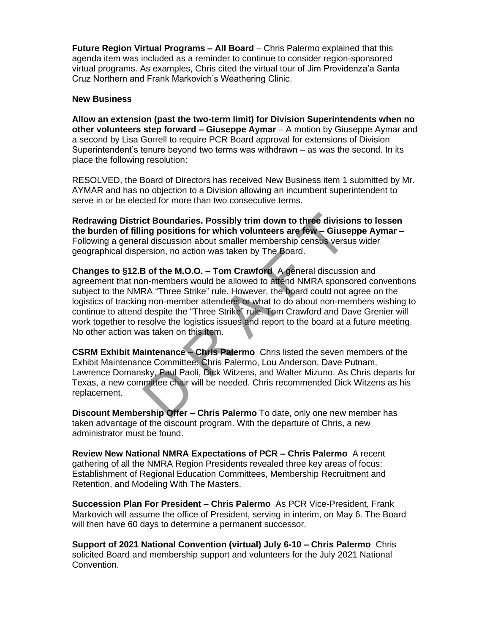**Future Region Virtual Programs – All Board** – Chris Palermo explained that this agenda item was included as a reminder to continue to consider region-sponsored virtual programs. As examples, Chris cited the virtual tour of Jim Providenza'a Santa Cruz Northern and Frank Markovich's Weathering Clinic.

#### **New Business**

**Allow an extension (past the two-term limit) for Division Superintendents when no other volunteers step forward – Giuseppe Aymar** – A motion by Giuseppe Aymar and a second by Lisa Gorrell to require PCR Board approval for extensions of Division Superintendent's tenure beyond two terms was withdrawn – as was the second. In its place the following resolution:

RESOLVED, the Board of Directors has received New Business item 1 submitted by Mr. AYMAR and has no objection to a Division allowing an incumbent superintendent to serve in or be elected for more than two consecutive terms.

**Redrawing District Boundaries. Possibly trim down to three divisions to lessen the burden of filling positions for which volunteers are few – Giuseppe Aymar –** Following a general discussion about smaller membership census versus wider geographical dispersion, no action was taken by The Board.

ct Boundaries. Possibly trim down to three divisions<br>ing positions for which volunteers are few – Giusepp<br>al discussion about smaller membership census versus<br>ersion, no action was taken by The Board.<br>3 of the M.O.O. – Tom **Changes to §12.B of the M.O.O. – Tom Crawford** A general discussion and agreement that non-members would be allowed to attend NMRA sponsored conventions subject to the NMRA "Three Strike" rule. However, the board could not agree on the logistics of tracking non-member attendees or what to do about non-members wishing to continue to attend despite the "Three Strike" rule. Tom Crawford and Dave Grenier will work together to resolve the logistics issues and report to the board at a future meeting. No other action was taken on this item.

**CSRM Exhibit Maintenance – Chris Palermo** Chris listed the seven members of the Exhibit Maintenance Committee: Chris Palermo, Lou Anderson, Dave Putnam, Lawrence Domansky, Paul Paoli, Dick Witzens, and Walter Mizuno. As Chris departs for Texas, a new committee chair will be needed. Chris recommended Dick Witzens as his replacement.

**Discount Membership Offer – Chris Palermo** To date, only one new member has taken advantage of the discount program. With the departure of Chris, a new administrator must be found.

**Review New National NMRA Expectations of PCR – Chris Palermo** A recent gathering of all the NMRA Region Presidents revealed three key areas of focus: Establishment of Regional Education Committees, Membership Recruitment and Retention, and Modeling With The Masters.

**Succession Plan For President – Chris Palermo** As PCR Vice-President, Frank Markovich will assume the office of President, serving in interim, on May 6. The Board will then have 60 days to determine a permanent successor.

**Support of 2021 National Convention (virtual) July 6-10 – Chris Palermo** Chris solicited Board and membership support and volunteers for the July 2021 National Convention.